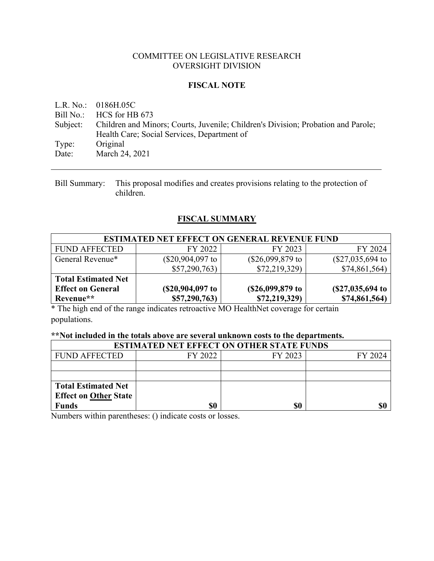#### COMMITTEE ON LEGISLATIVE RESEARCH OVERSIGHT DIVISION

#### **FISCAL NOTE**

L.R. No.: 0186H.05C Bill No.: HCS for HB 673 Subject: Children and Minors; Courts, Juvenile; Children's Division; Probation and Parole; Health Care; Social Services, Department of Type: Original Date: March 24, 2021

Bill Summary: This proposal modifies and creates provisions relating to the protection of children.

## **FISCAL SUMMARY**

| <b>ESTIMATED NET EFFECT ON GENERAL REVENUE FUND</b> |                    |                    |                    |  |  |
|-----------------------------------------------------|--------------------|--------------------|--------------------|--|--|
| <b>FUND AFFECTED</b>                                | FY 2022            | FY 2023            | FY 2024            |  |  |
| General Revenue*                                    | $(\$20,904,097$ to | $(\$26,099,879$ to | $(\$27,035,694$ to |  |  |
|                                                     | \$57,290,763       | \$72,219,329       | \$74,861,564)      |  |  |
| <b>Total Estimated Net</b>                          |                    |                    |                    |  |  |
| <b>Effect on General</b>                            | (\$20,904,097 to   | (\$26,099,879 to   | $(S27,035,694)$ to |  |  |
| Revenue**                                           | \$57,290,763)      | \$72,219,329)      | \$74,861,564)      |  |  |

\* The high end of the range indicates retroactive MO HealthNet coverage for certain populations.

#### **\*\*Not included in the totals above are several unknown costs to the departments.**

| <b>ESTIMATED NET EFFECT ON OTHER STATE FUNDS</b> |         |         |         |  |  |
|--------------------------------------------------|---------|---------|---------|--|--|
| <b>FUND AFFECTED</b>                             | FY 2022 | FY 2023 | FY 2024 |  |  |
|                                                  |         |         |         |  |  |
|                                                  |         |         |         |  |  |
| <b>Total Estimated Net</b>                       |         |         |         |  |  |
| <b>Effect on Other State</b>                     |         |         |         |  |  |
| <b>Funds</b>                                     | \$0     | \$0     | \$0     |  |  |

Numbers within parentheses: () indicate costs or losses.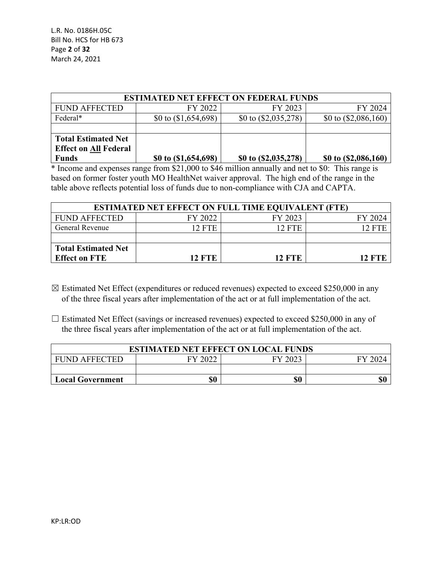L.R. No. 0186H.05C Bill No. HCS for HB 673 Page **2** of **32** March 24, 2021

| <b>ESTIMATED NET EFFECT ON FEDERAL FUNDS</b> |                        |                        |                        |  |  |
|----------------------------------------------|------------------------|------------------------|------------------------|--|--|
| <b>FUND AFFECTED</b>                         | FY 2022                | FY 2023                | FY 2024                |  |  |
| Federal*                                     | \$0 to $(\$1,654,698)$ | \$0 to $(\$2,035,278)$ | \$0 to $(\$2,086,160)$ |  |  |
|                                              |                        |                        |                        |  |  |
| <b>Total Estimated Net</b>                   |                        |                        |                        |  |  |
| <b>Effect on All Federal</b>                 |                        |                        |                        |  |  |
| <b>Funds</b>                                 | \$0 to $(1,654,698)$   | \$0 to (\$2,035,278)   | \$0 to $($ 2,086,160)  |  |  |

\* Income and expenses range from \$21,000 to \$46 million annually and net to \$0: This range is based on former foster youth MO HealthNet waiver approval. The high end of the range in the table above reflects potential loss of funds due to non-compliance with CJA and CAPTA.

| <b>ESTIMATED NET EFFECT ON FULL TIME EQUIVALENT (FTE)</b> |         |               |         |  |  |
|-----------------------------------------------------------|---------|---------------|---------|--|--|
| <b>FUND AFFECTED</b>                                      | FY 2022 | FY 2023       | FY 2024 |  |  |
| General Revenue                                           | 12 FTE  | <b>12 FTE</b> | 12. FT  |  |  |
|                                                           |         |               |         |  |  |
| <b>Total Estimated Net</b>                                |         |               |         |  |  |
| <b>Effect on FTE</b>                                      | 12 FTE  | <b>12 FTE</b> | 12 FTE  |  |  |

- $\boxtimes$  Estimated Net Effect (expenditures or reduced revenues) expected to exceed \$250,000 in any of the three fiscal years after implementation of the act or at full implementation of the act.
- $\Box$  Estimated Net Effect (savings or increased revenues) expected to exceed \$250,000 in any of the three fiscal years after implementation of the act or at full implementation of the act.

| <b>ESTIMATED NET EFFECT ON LOCAL FUNDS</b>            |  |  |  |  |  |  |
|-------------------------------------------------------|--|--|--|--|--|--|
| FY 2022<br>FY 2023<br><b>FUND AFFECTED</b><br>FY 2024 |  |  |  |  |  |  |
|                                                       |  |  |  |  |  |  |
| \$0<br>\$0<br>\$0<br><b>Local Government</b>          |  |  |  |  |  |  |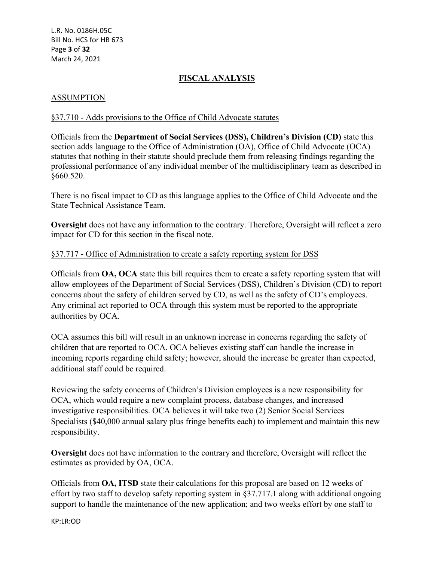L.R. No. 0186H.05C Bill No. HCS for HB 673 Page **3** of **32** March 24, 2021

# **FISCAL ANALYSIS**

## ASSUMPTION

#### §37.710 - Adds provisions to the Office of Child Advocate statutes

Officials from the **Department of Social Services (DSS), Children's Division (CD)** state this section adds language to the Office of Administration (OA), Office of Child Advocate (OCA) statutes that nothing in their statute should preclude them from releasing findings regarding the professional performance of any individual member of the multidisciplinary team as described in §660.520.

There is no fiscal impact to CD as this language applies to the Office of Child Advocate and the State Technical Assistance Team.

**Oversight** does not have any information to the contrary. Therefore, Oversight will reflect a zero impact for CD for this section in the fiscal note.

#### §37.717 - Office of Administration to create a safety reporting system for DSS

Officials from **OA, OCA** state this bill requires them to create a safety reporting system that will allow employees of the Department of Social Services (DSS), Children's Division (CD) to report concerns about the safety of children served by CD, as well as the safety of CD's employees. Any criminal act reported to OCA through this system must be reported to the appropriate authorities by OCA.

OCA assumes this bill will result in an unknown increase in concerns regarding the safety of children that are reported to OCA. OCA believes existing staff can handle the increase in incoming reports regarding child safety; however, should the increase be greater than expected, additional staff could be required.

Reviewing the safety concerns of Children's Division employees is a new responsibility for OCA, which would require a new complaint process, database changes, and increased investigative responsibilities. OCA believes it will take two (2) Senior Social Services Specialists (\$40,000 annual salary plus fringe benefits each) to implement and maintain this new responsibility.

**Oversight** does not have information to the contrary and therefore, Oversight will reflect the estimates as provided by OA, OCA.

Officials from **OA, ITSD** state their calculations for this proposal are based on 12 weeks of effort by two staff to develop safety reporting system in §37.717.1 along with additional ongoing support to handle the maintenance of the new application; and two weeks effort by one staff to

KP:LR:OD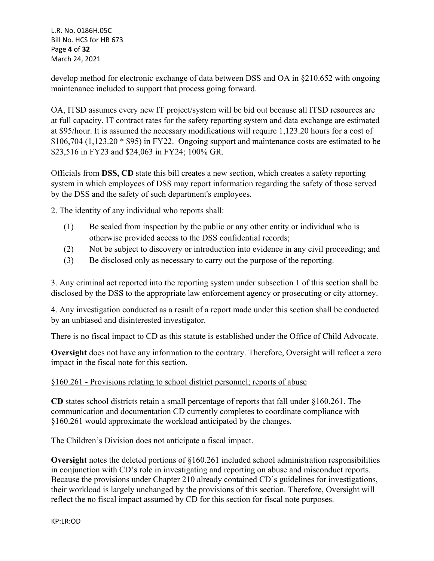L.R. No. 0186H.05C Bill No. HCS for HB 673 Page **4** of **32** March 24, 2021

develop method for electronic exchange of data between DSS and OA in §210.652 with ongoing maintenance included to support that process going forward.

OA, ITSD assumes every new IT project/system will be bid out because all ITSD resources are at full capacity. IT contract rates for the safety reporting system and data exchange are estimated at \$95/hour. It is assumed the necessary modifications will require 1,123.20 hours for a cost of \$106,704 (1,123.20 \* \$95) in FY22. Ongoing support and maintenance costs are estimated to be \$23,516 in FY23 and \$24,063 in FY24; 100% GR.

Officials from **DSS, CD** state this bill creates a new section, which creates a safety reporting system in which employees of DSS may report information regarding the safety of those served by the DSS and the safety of such department's employees.

2. The identity of any individual who reports shall:

- (1) Be sealed from inspection by the public or any other entity or individual who is otherwise provided access to the DSS confidential records;
- (2) Not be subject to discovery or introduction into evidence in any civil proceeding; and
- (3) Be disclosed only as necessary to carry out the purpose of the reporting.

3. Any criminal act reported into the reporting system under subsection 1 of this section shall be disclosed by the DSS to the appropriate law enforcement agency or prosecuting or city attorney.

4. Any investigation conducted as a result of a report made under this section shall be conducted by an unbiased and disinterested investigator.

There is no fiscal impact to CD as this statute is established under the Office of Child Advocate.

**Oversight** does not have any information to the contrary. Therefore, Oversight will reflect a zero impact in the fiscal note for this section.

## §160.261 - Provisions relating to school district personnel; reports of abuse

**CD** states school districts retain a small percentage of reports that fall under §160.261. The communication and documentation CD currently completes to coordinate compliance with §160.261 would approximate the workload anticipated by the changes.

The Children's Division does not anticipate a fiscal impact.

**Oversight** notes the deleted portions of §160.261 included school administration responsibilities in conjunction with CD's role in investigating and reporting on abuse and misconduct reports. Because the provisions under Chapter 210 already contained CD's guidelines for investigations, their workload is largely unchanged by the provisions of this section. Therefore, Oversight will reflect the no fiscal impact assumed by CD for this section for fiscal note purposes.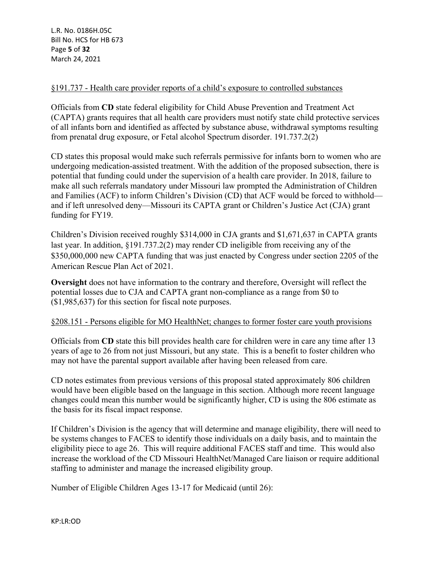## §191.737 - Health care provider reports of a child's exposure to controlled substances

Officials from **CD** state federal eligibility for Child Abuse Prevention and Treatment Act (CAPTA) grants requires that all health care providers must notify state child protective services of all infants born and identified as affected by substance abuse, withdrawal symptoms resulting from prenatal drug exposure, or Fetal alcohol Spectrum disorder. 191.737.2(2)

CD states this proposal would make such referrals permissive for infants born to women who are undergoing medication-assisted treatment. With the addition of the proposed subsection, there is potential that funding could under the supervision of a health care provider. In 2018, failure to make all such referrals mandatory under Missouri law prompted the Administration of Children and Families (ACF) to inform Children's Division (CD) that ACF would be forced to withhold and if left unresolved deny—Missouri its CAPTA grant or Children's Justice Act (CJA) grant funding for FY19.

Children's Division received roughly \$314,000 in CJA grants and \$1,671,637 in CAPTA grants last year. In addition, §191.737.2(2) may render CD ineligible from receiving any of the \$350,000,000 new CAPTA funding that was just enacted by Congress under section 2205 of the American Rescue Plan Act of 2021.

**Oversight** does not have information to the contrary and therefore, Oversight will reflect the potential losses due to CJA and CAPTA grant non-compliance as a range from \$0 to (\$1,985,637) for this section for fiscal note purposes.

#### §208.151 - Persons eligible for MO HealthNet; changes to former foster care youth provisions

Officials from **CD** state this bill provides health care for children were in care any time after 13 years of age to 26 from not just Missouri, but any state. This is a benefit to foster children who may not have the parental support available after having been released from care.

CD notes estimates from previous versions of this proposal stated approximately 806 children would have been eligible based on the language in this section. Although more recent language changes could mean this number would be significantly higher, CD is using the 806 estimate as the basis for its fiscal impact response.

If Children's Division is the agency that will determine and manage eligibility, there will need to be systems changes to FACES to identify those individuals on a daily basis, and to maintain the eligibility piece to age 26. This will require additional FACES staff and time. This would also increase the workload of the CD Missouri HealthNet/Managed Care liaison or require additional staffing to administer and manage the increased eligibility group.

Number of Eligible Children Ages 13-17 for Medicaid (until 26):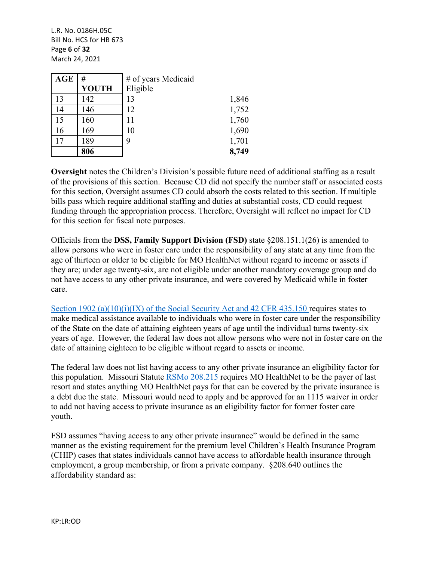L.R. No. 0186H.05C Bill No. HCS for HB 673 Page **6** of **32** March 24, 2021

| <b>AGE</b> | #            | # of years Medicaid |       |
|------------|--------------|---------------------|-------|
|            | <b>YOUTH</b> | Eligible            |       |
| 13         | 142          | 13                  | 1,846 |
| 14         | 146          | 12                  | 1,752 |
| 15         | 160          | 11                  | 1,760 |
| 16         | 169          | 10                  | 1,690 |
| 17         | 189          | 9                   | 1,701 |
|            | 806          |                     | 8,749 |

**Oversight** notes the Children's Division's possible future need of additional staffing as a result of the provisions of this section. Because CD did not specify the number staff or associated costs for this section, Oversight assumes CD could absorb the costs related to this section. If multiple bills pass which require additional staffing and duties at substantial costs, CD could request funding through the appropriation process. Therefore, Oversight will reflect no impact for CD for this section for fiscal note purposes.

Officials from the **DSS, Family Support Division (FSD)** state §208.151.1(26) is amended to allow persons who were in foster care under the responsibility of any state at any time from the age of thirteen or older to be eligible for MO HealthNet without regard to income or assets if they are; under age twenty-six, are not eligible under another mandatory coverage group and do not have access to any other private insurance, and were covered by Medicaid while in foster care.

[Section 1902 \(a\)\(10\)\(i\)\(IX\) of the Social Security Act and 42 CFR 435.150](https://www.ssa.gov/OP_Home/ssact/title19/1902.htm) requires states to make medical assistance available to individuals who were in foster care under the responsibility of the State on the date of attaining eighteen years of age until the individual turns twenty-six years of age. However, the federal law does not allow persons who were not in foster care on the date of attaining eighteen to be eligible without regard to assets or income.

The federal law does not list having access to any other private insurance an eligibility factor for this population. Missouri Statute [RSMo 208.215](https://revisor.mo.gov/main/OneSection.aspx?section=208.215) requires MO HealthNet to be the payer of last resort and states anything MO HealthNet pays for that can be covered by the private insurance is a debt due the state. Missouri would need to apply and be approved for an 1115 waiver in order to add not having access to private insurance as an eligibility factor for former foster care youth.

FSD assumes "having access to any other private insurance" would be defined in the same manner as the existing requirement for the premium level Children's Health Insurance Program (CHIP) cases that states individuals cannot have access to affordable health insurance through employment, a group membership, or from a private company. §208.640 outlines the affordability standard as: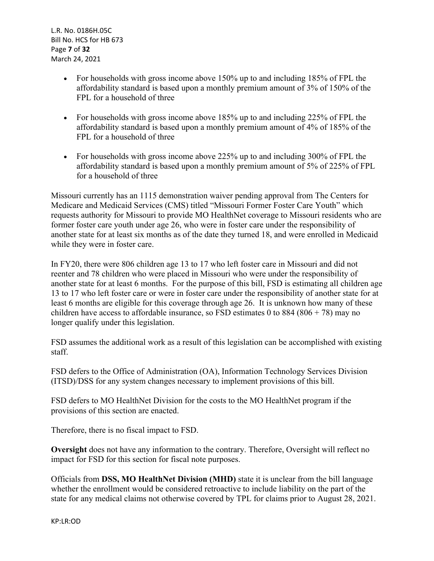L.R. No. 0186H.05C Bill No. HCS for HB 673 Page **7** of **32** March 24, 2021

- For households with gross income above 150% up to and including 185% of FPL the affordability standard is based upon a monthly premium amount of 3% of 150% of the FPL for a household of three
- For households with gross income above 185% up to and including 225% of FPL the affordability standard is based upon a monthly premium amount of 4% of 185% of the FPL for a household of three
- For households with gross income above 225% up to and including 300% of FPL the affordability standard is based upon a monthly premium amount of 5% of 225% of FPL for a household of three

Missouri currently has an 1115 demonstration waiver pending approval from The Centers for Medicare and Medicaid Services (CMS) titled "Missouri Former Foster Care Youth" which requests authority for Missouri to provide MO HealthNet coverage to Missouri residents who are former foster care youth under age 26, who were in foster care under the responsibility of another state for at least six months as of the date they turned 18, and were enrolled in Medicaid while they were in foster care.

In FY20, there were 806 children age 13 to 17 who left foster care in Missouri and did not reenter and 78 children who were placed in Missouri who were under the responsibility of another state for at least 6 months. For the purpose of this bill, FSD is estimating all children age 13 to 17 who left foster care or were in foster care under the responsibility of another state for at least 6 months are eligible for this coverage through age 26. It is unknown how many of these children have access to affordable insurance, so FSD estimates 0 to 884 (806 + 78) may no longer qualify under this legislation.

FSD assumes the additional work as a result of this legislation can be accomplished with existing staff.

FSD defers to the Office of Administration (OA), Information Technology Services Division (ITSD)/DSS for any system changes necessary to implement provisions of this bill.

FSD defers to MO HealthNet Division for the costs to the MO HealthNet program if the provisions of this section are enacted.

Therefore, there is no fiscal impact to FSD.

**Oversight** does not have any information to the contrary. Therefore, Oversight will reflect no impact for FSD for this section for fiscal note purposes.

Officials from **DSS, MO HealthNet Division (MHD)** state it is unclear from the bill language whether the enrollment would be considered retroactive to include liability on the part of the state for any medical claims not otherwise covered by TPL for claims prior to August 28, 2021.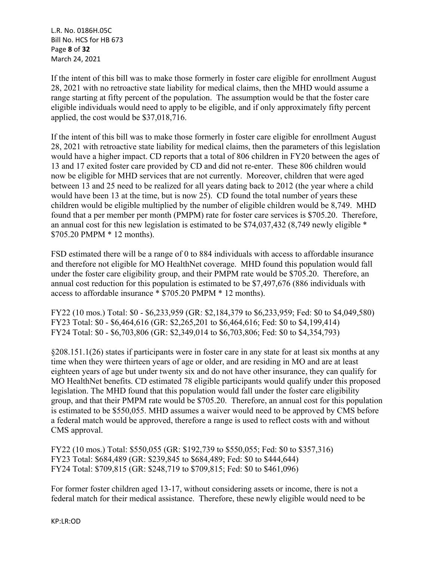L.R. No. 0186H.05C Bill No. HCS for HB 673 Page **8** of **32** March 24, 2021

If the intent of this bill was to make those formerly in foster care eligible for enrollment August 28, 2021 with no retroactive state liability for medical claims, then the MHD would assume a range starting at fifty percent of the population. The assumption would be that the foster care eligible individuals would need to apply to be eligible, and if only approximately fifty percent applied, the cost would be \$37,018,716.

If the intent of this bill was to make those formerly in foster care eligible for enrollment August 28, 2021 with retroactive state liability for medical claims, then the parameters of this legislation would have a higher impact. CD reports that a total of 806 children in FY20 between the ages of 13 and 17 exited foster care provided by CD and did not re-enter. These 806 children would now be eligible for MHD services that are not currently. Moreover, children that were aged between 13 and 25 need to be realized for all years dating back to 2012 (the year where a child would have been 13 at the time, but is now 25). CD found the total number of years these children would be eligible multiplied by the number of eligible children would be 8,749. MHD found that a per member per month (PMPM) rate for foster care services is \$705.20. Therefore, an annual cost for this new legislation is estimated to be \$74,037,432 (8,749 newly eligible \* \$705.20 PMPM \* 12 months).

FSD estimated there will be a range of 0 to 884 individuals with access to affordable insurance and therefore not eligible for MO HealthNet coverage. MHD found this population would fall under the foster care eligibility group, and their PMPM rate would be \$705.20. Therefore, an annual cost reduction for this population is estimated to be \$7,497,676 (886 individuals with access to affordable insurance \* \$705.20 PMPM \* 12 months).

FY22 (10 mos.) Total: \$0 - \$6,233,959 (GR: \$2,184,379 to \$6,233,959; Fed: \$0 to \$4,049,580) FY23 Total: \$0 - \$6,464,616 (GR: \$2,265,201 to \$6,464,616; Fed: \$0 to \$4,199,414) FY24 Total: \$0 - \$6,703,806 (GR: \$2,349,014 to \$6,703,806; Fed: \$0 to \$4,354,793)

§208.151.1(26) states if participants were in foster care in any state for at least six months at any time when they were thirteen years of age or older, and are residing in MO and are at least eighteen years of age but under twenty six and do not have other insurance, they can qualify for MO HealthNet benefits. CD estimated 78 eligible participants would qualify under this proposed legislation. The MHD found that this population would fall under the foster care eligibility group, and that their PMPM rate would be \$705.20. Therefore, an annual cost for this population is estimated to be \$550,055. MHD assumes a waiver would need to be approved by CMS before a federal match would be approved, therefore a range is used to reflect costs with and without CMS approval.

FY22 (10 mos.) Total: \$550,055 (GR: \$192,739 to \$550,055; Fed: \$0 to \$357,316) FY23 Total: \$684,489 (GR: \$239,845 to \$684,489; Fed: \$0 to \$444,644) FY24 Total: \$709,815 (GR: \$248,719 to \$709,815; Fed: \$0 to \$461,096)

For former foster children aged 13-17, without considering assets or income, there is not a federal match for their medical assistance. Therefore, these newly eligible would need to be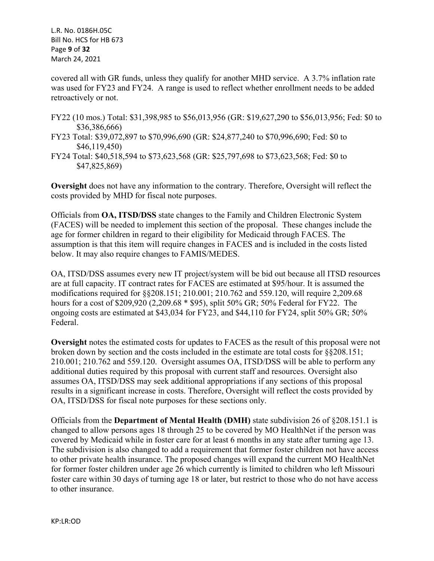L.R. No. 0186H.05C Bill No. HCS for HB 673 Page **9** of **32** March 24, 2021

covered all with GR funds, unless they qualify for another MHD service. A 3.7% inflation rate was used for FY23 and FY24. A range is used to reflect whether enrollment needs to be added retroactively or not.

- FY22 (10 mos.) Total: \$31,398,985 to \$56,013,956 (GR: \$19,627,290 to \$56,013,956; Fed: \$0 to \$36,386,666)
- FY23 Total: \$39,072,897 to \$70,996,690 (GR: \$24,877,240 to \$70,996,690; Fed: \$0 to \$46,119,450)
- FY24 Total: \$40,518,594 to \$73,623,568 (GR: \$25,797,698 to \$73,623,568; Fed: \$0 to \$47,825,869)

**Oversight** does not have any information to the contrary. Therefore, Oversight will reflect the costs provided by MHD for fiscal note purposes.

Officials from **OA, ITSD/DSS** state changes to the Family and Children Electronic System (FACES) will be needed to implement this section of the proposal. These changes include the age for former children in regard to their eligibility for Medicaid through FACES. The assumption is that this item will require changes in FACES and is included in the costs listed below. It may also require changes to FAMIS/MEDES.

OA, ITSD/DSS assumes every new IT project/system will be bid out because all ITSD resources are at full capacity. IT contract rates for FACES are estimated at \$95/hour. It is assumed the modifications required for §§208.151; 210.001; 210.762 and 559.120, will require 2,209.68 hours for a cost of \$209,920 (2,209.68 \* \$95), split 50% GR; 50% Federal for FY22. The ongoing costs are estimated at \$43,034 for FY23, and \$44,110 for FY24, split 50% GR; 50% Federal.

**Oversight** notes the estimated costs for updates to FACES as the result of this proposal were not broken down by section and the costs included in the estimate are total costs for §§208.151; 210.001; 210.762 and 559.120. Oversight assumes OA, ITSD/DSS will be able to perform any additional duties required by this proposal with current staff and resources. Oversight also assumes OA, ITSD/DSS may seek additional appropriations if any sections of this proposal results in a significant increase in costs. Therefore, Oversight will reflect the costs provided by OA, ITSD/DSS for fiscal note purposes for these sections only.

Officials from the **Department of Mental Health (DMH)** state subdivision 26 of §208.151.1 is changed to allow persons ages 18 through 25 to be covered by MO HealthNet if the person was covered by Medicaid while in foster care for at least 6 months in any state after turning age 13. The subdivision is also changed to add a requirement that former foster children not have access to other private health insurance. The proposed changes will expand the current MO HealthNet for former foster children under age 26 which currently is limited to children who left Missouri foster care within 30 days of turning age 18 or later, but restrict to those who do not have access to other insurance.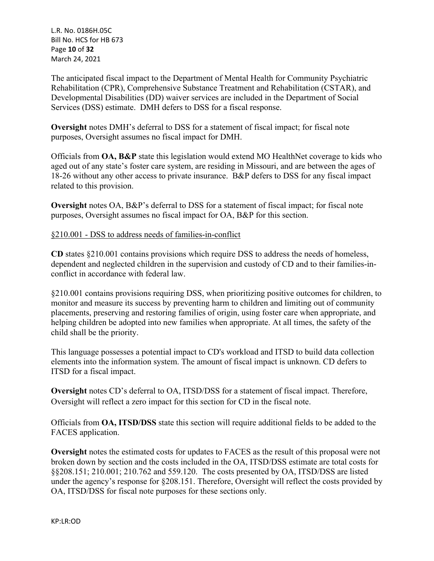L.R. No. 0186H.05C Bill No. HCS for HB 673 Page **10** of **32** March 24, 2021

The anticipated fiscal impact to the Department of Mental Health for Community Psychiatric Rehabilitation (CPR), Comprehensive Substance Treatment and Rehabilitation (CSTAR), and Developmental Disabilities (DD) waiver services are included in the Department of Social Services (DSS) estimate. DMH defers to DSS for a fiscal response.

**Oversight** notes DMH's deferral to DSS for a statement of fiscal impact; for fiscal note purposes, Oversight assumes no fiscal impact for DMH.

Officials from **OA, B&P** state this legislation would extend MO HealthNet coverage to kids who aged out of any state's foster care system, are residing in Missouri, and are between the ages of 18-26 without any other access to private insurance. B&P defers to DSS for any fiscal impact related to this provision.

**Oversight** notes OA, B&P's deferral to DSS for a statement of fiscal impact; for fiscal note purposes, Oversight assumes no fiscal impact for OA, B&P for this section.

§210.001 - DSS to address needs of families-in-conflict

**CD** states §210.001 contains provisions which require DSS to address the needs of homeless, dependent and neglected children in the supervision and custody of CD and to their families-inconflict in accordance with federal law.

§210.001 contains provisions requiring DSS, when prioritizing positive outcomes for children, to monitor and measure its success by preventing harm to children and limiting out of community placements, preserving and restoring families of origin, using foster care when appropriate, and helping children be adopted into new families when appropriate. At all times, the safety of the child shall be the priority.

This language possesses a potential impact to CD's workload and ITSD to build data collection elements into the information system. The amount of fiscal impact is unknown. CD defers to ITSD for a fiscal impact.

**Oversight** notes CD's deferral to OA, ITSD/DSS for a statement of fiscal impact. Therefore, Oversight will reflect a zero impact for this section for CD in the fiscal note.

Officials from **OA, ITSD/DSS** state this section will require additional fields to be added to the FACES application.

**Oversight** notes the estimated costs for updates to FACES as the result of this proposal were not broken down by section and the costs included in the OA, ITSD/DSS estimate are total costs for §§208.151; 210.001; 210.762 and 559.120. The costs presented by OA, ITSD/DSS are listed under the agency's response for §208.151. Therefore, Oversight will reflect the costs provided by OA, ITSD/DSS for fiscal note purposes for these sections only.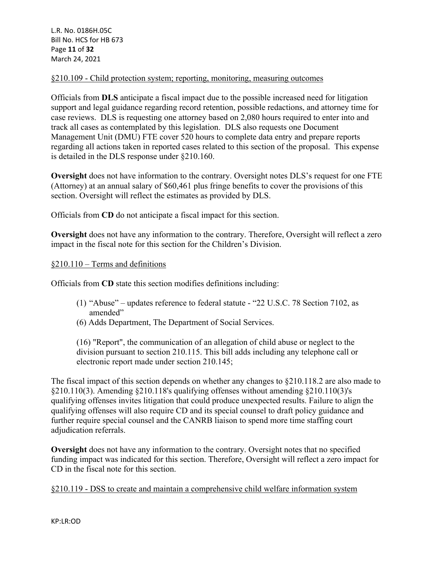#### §210.109 - Child protection system; reporting, monitoring, measuring outcomes

Officials from **DLS** anticipate a fiscal impact due to the possible increased need for litigation support and legal guidance regarding record retention, possible redactions, and attorney time for case reviews. DLS is requesting one attorney based on 2,080 hours required to enter into and track all cases as contemplated by this legislation. DLS also requests one Document Management Unit (DMU) FTE cover 520 hours to complete data entry and prepare reports regarding all actions taken in reported cases related to this section of the proposal. This expense is detailed in the DLS response under §210.160.

**Oversight** does not have information to the contrary. Oversight notes DLS's request for one FTE (Attorney) at an annual salary of \$60,461 plus fringe benefits to cover the provisions of this section. Oversight will reflect the estimates as provided by DLS.

Officials from **CD** do not anticipate a fiscal impact for this section.

**Oversight** does not have any information to the contrary. Therefore, Oversight will reflect a zero impact in the fiscal note for this section for the Children's Division.

#### §210.110 – Terms and definitions

Officials from **CD** state this section modifies definitions including:

- (1) "Abuse" updates reference to federal statute "22 U.S.C. 78 Section 7102, as amended"
- (6) Adds Department, The Department of Social Services.

(16) "Report", the communication of an allegation of child abuse or neglect to the division pursuant to section 210.115. This bill adds including any telephone call or electronic report made under section 210.145;

The fiscal impact of this section depends on whether any changes to §210.118.2 are also made to §210.110(3). Amending §210.118's qualifying offenses without amending §210.110(3)'s qualifying offenses invites litigation that could produce unexpected results. Failure to align the qualifying offenses will also require CD and its special counsel to draft policy guidance and further require special counsel and the CANRB liaison to spend more time staffing court adjudication referrals.

**Oversight** does not have any information to the contrary. Oversight notes that no specified funding impact was indicated for this section. Therefore, Oversight will reflect a zero impact for CD in the fiscal note for this section.

§210.119 - DSS to create and maintain a comprehensive child welfare information system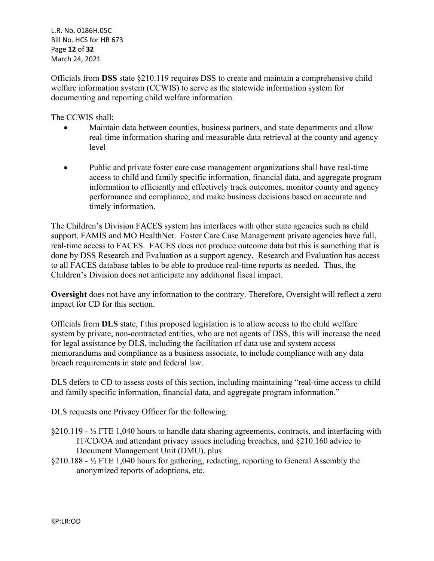L.R. No. 0186H.05C Bill No. HCS for HB 673 Page **12** of **32** March 24, 2021

Officials from **DSS** state §210.119 requires DSS to create and maintain a comprehensive child welfare information system (CCWIS) to serve as the statewide information system for documenting and reporting child welfare information.

The CCWIS shall:

- Maintain data between counties, business partners, and state departments and allow real-time information sharing and measurable data retrieval at the county and agency level
- Public and private foster care case management organizations shall have real-time access to child and family specific information, financial data, and aggregate program information to efficiently and effectively track outcomes, monitor county and agency performance and compliance, and make business decisions based on accurate and timely information.

The Children's Division FACES system has interfaces with other state agencies such as child support, FAMIS and MO HealthNet. Foster Care Case Management private agencies have full, real-time access to FACES. FACES does not produce outcome data but this is something that is done by DSS Research and Evaluation as a support agency. Research and Evaluation has access to all FACES database tables to be able to produce real-time reports as needed. Thus, the Children's Division does not anticipate any additional fiscal impact.

**Oversight** does not have any information to the contrary. Therefore, Oversight will reflect a zero impact for CD for this section.

Officials from **DLS** state, f this proposed legislation is to allow access to the child welfare system by private, non-contracted entities, who are not agents of DSS, this will increase the need for legal assistance by DLS, including the facilitation of data use and system access memorandums and compliance as a business associate, to include compliance with any data breach requirements in state and federal law.

DLS defers to CD to assess costs of this section, including maintaining "real-time access to child and family specific information, financial data, and aggregate program information."

DLS requests one Privacy Officer for the following:

- $\S210.119 \frac{1}{2}$  FTE 1,040 hours to handle data sharing agreements, contracts, and interfacing with IT/CD/OA and attendant privacy issues including breaches, and §210.160 advice to Document Management Unit (DMU), plus
- §210.188 ½ FTE 1,040 hours for gathering, redacting, reporting to General Assembly the anonymized reports of adoptions, etc.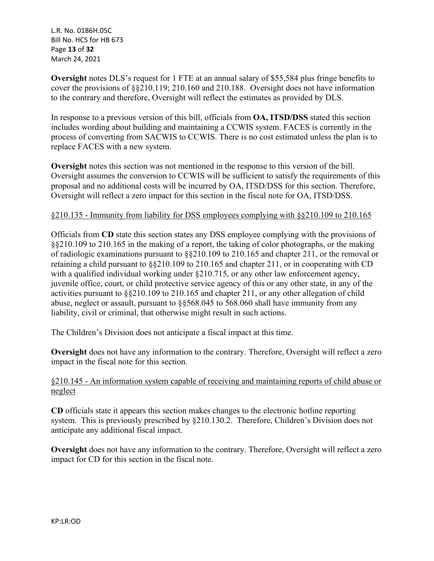L.R. No. 0186H.05C Bill No. HCS for HB 673 Page **13** of **32** March 24, 2021

**Oversight** notes DLS's request for 1 FTE at an annual salary of \$55,584 plus fringe benefits to cover the provisions of §§210.119; 210.160 and 210.188. Oversight does not have information to the contrary and therefore, Oversight will reflect the estimates as provided by DLS.

In response to a previous version of this bill, officials from **OA, ITSD/DSS** stated this section includes wording about building and maintaining a CCWIS system. FACES is currently in the process of converting from SACWIS to CCWIS. There is no cost estimated unless the plan is to replace FACES with a new system.

**Oversight** notes this section was not mentioned in the response to this version of the bill. Oversight assumes the conversion to CCWIS will be sufficient to satisfy the requirements of this proposal and no additional costs will be incurred by OA, ITSD/DSS for this section. Therefore, Oversight will reflect a zero impact for this section in the fiscal note for OA, ITSD/DSS.

#### §210.135 - Immunity from liability for DSS employees complying with §§210.109 to 210.165

Officials from **CD** state this section states any DSS employee complying with the provisions of §§210.109 to 210.165 in the making of a report, the taking of color photographs, or the making of radiologic examinations pursuant to §§210.109 to 210.165 and chapter 211, or the removal or retaining a child pursuant to §§210.109 to 210.165 and chapter 211, or in cooperating with CD with a qualified individual working under  $\frac{210.715}{\pi}$ , or any other law enforcement agency, juvenile office, court, or child protective service agency of this or any other state, in any of the activities pursuant to §§210.109 to 210.165 and chapter 211, or any other allegation of child abuse, neglect or assault, pursuant to §§568.045 to 568.060 shall have immunity from any liability, civil or criminal, that otherwise might result in such actions.

The Children's Division does not anticipate a fiscal impact at this time.

**Oversight** does not have any information to the contrary. Therefore, Oversight will reflect a zero impact in the fiscal note for this section.

#### §210.145 - An information system capable of receiving and maintaining reports of child abuse or neglect

**CD** officials state it appears this section makes changes to the electronic hotline reporting system. This is previously prescribed by §210.130.2. Therefore, Children's Division does not anticipate any additional fiscal impact.

**Oversight** does not have any information to the contrary. Therefore, Oversight will reflect a zero impact for CD for this section in the fiscal note.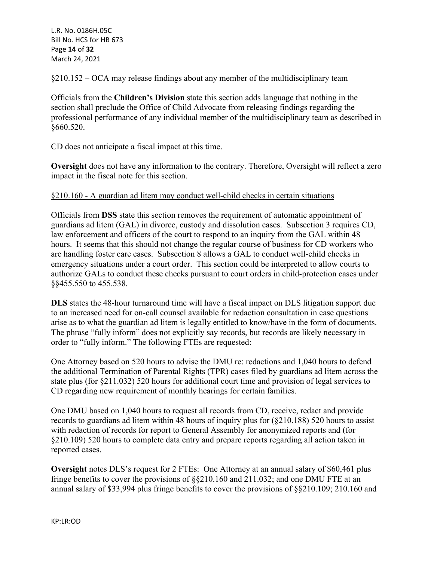§210.152 – OCA may release findings about any member of the multidisciplinary team

Officials from the **Children's Division** state this section adds language that nothing in the section shall preclude the Office of Child Advocate from releasing findings regarding the professional performance of any individual member of the multidisciplinary team as described in §660.520.

CD does not anticipate a fiscal impact at this time.

**Oversight** does not have any information to the contrary. Therefore, Oversight will reflect a zero impact in the fiscal note for this section.

## §210.160 - A guardian ad litem may conduct well-child checks in certain situations

Officials from **DSS** state this section removes the requirement of automatic appointment of guardians ad litem (GAL) in divorce, custody and dissolution cases. Subsection 3 requires CD, law enforcement and officers of the court to respond to an inquiry from the GAL within 48 hours. It seems that this should not change the regular course of business for CD workers who are handling foster care cases. Subsection 8 allows a GAL to conduct well-child checks in emergency situations under a court order. This section could be interpreted to allow courts to authorize GALs to conduct these checks pursuant to court orders in child-protection cases under §§455.550 to 455.538.

**DLS** states the 48-hour turnaround time will have a fiscal impact on DLS litigation support due to an increased need for on-call counsel available for redaction consultation in case questions arise as to what the guardian ad litem is legally entitled to know/have in the form of documents. The phrase "fully inform" does not explicitly say records, but records are likely necessary in order to "fully inform." The following FTEs are requested:

One Attorney based on 520 hours to advise the DMU re: redactions and 1,040 hours to defend the additional Termination of Parental Rights (TPR) cases filed by guardians ad litem across the state plus (for §211.032) 520 hours for additional court time and provision of legal services to CD regarding new requirement of monthly hearings for certain families.

One DMU based on 1,040 hours to request all records from CD, receive, redact and provide records to guardians ad litem within 48 hours of inquiry plus for (§210.188) 520 hours to assist with redaction of records for report to General Assembly for anonymized reports and (for §210.109) 520 hours to complete data entry and prepare reports regarding all action taken in reported cases.

**Oversight** notes DLS's request for 2 FTEs: One Attorney at an annual salary of \$60,461 plus fringe benefits to cover the provisions of §§210.160 and 211.032; and one DMU FTE at an annual salary of \$33,994 plus fringe benefits to cover the provisions of §§210.109; 210.160 and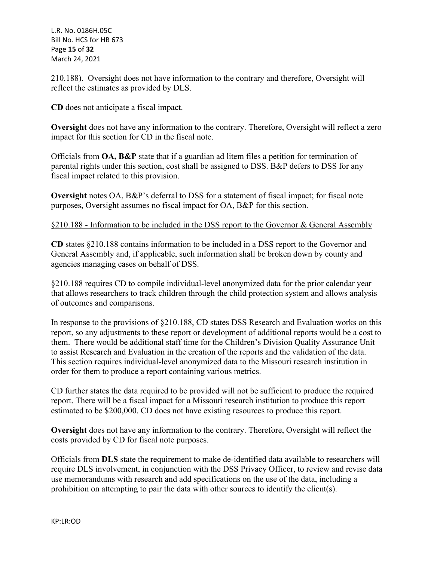L.R. No. 0186H.05C Bill No. HCS for HB 673 Page **15** of **32** March 24, 2021

210.188). Oversight does not have information to the contrary and therefore, Oversight will reflect the estimates as provided by DLS.

**CD** does not anticipate a fiscal impact.

**Oversight** does not have any information to the contrary. Therefore, Oversight will reflect a zero impact for this section for CD in the fiscal note.

Officials from **OA, B&P** state that if a guardian ad litem files a petition for termination of parental rights under this section, cost shall be assigned to DSS. B&P defers to DSS for any fiscal impact related to this provision.

**Oversight** notes OA, B&P's deferral to DSS for a statement of fiscal impact; for fiscal note purposes, Oversight assumes no fiscal impact for OA, B&P for this section.

#### §210.188 - Information to be included in the DSS report to the Governor & General Assembly

**CD** states §210.188 contains information to be included in a DSS report to the Governor and General Assembly and, if applicable, such information shall be broken down by county and agencies managing cases on behalf of DSS.

§210.188 requires CD to compile individual-level anonymized data for the prior calendar year that allows researchers to track children through the child protection system and allows analysis of outcomes and comparisons.

In response to the provisions of §210.188, CD states DSS Research and Evaluation works on this report, so any adjustments to these report or development of additional reports would be a cost to them. There would be additional staff time for the Children's Division Quality Assurance Unit to assist Research and Evaluation in the creation of the reports and the validation of the data. This section requires individual-level anonymized data to the Missouri research institution in order for them to produce a report containing various metrics.

CD further states the data required to be provided will not be sufficient to produce the required report. There will be a fiscal impact for a Missouri research institution to produce this report estimated to be \$200,000. CD does not have existing resources to produce this report.

**Oversight** does not have any information to the contrary. Therefore, Oversight will reflect the costs provided by CD for fiscal note purposes.

Officials from **DLS** state the requirement to make de-identified data available to researchers will require DLS involvement, in conjunction with the DSS Privacy Officer, to review and revise data use memorandums with research and add specifications on the use of the data, including a prohibition on attempting to pair the data with other sources to identify the client(s).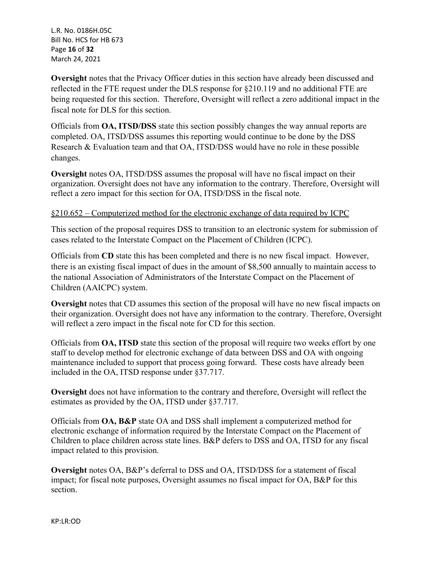L.R. No. 0186H.05C Bill No. HCS for HB 673 Page **16** of **32** March 24, 2021

**Oversight** notes that the Privacy Officer duties in this section have already been discussed and reflected in the FTE request under the DLS response for §210.119 and no additional FTE are being requested for this section. Therefore, Oversight will reflect a zero additional impact in the fiscal note for DLS for this section.

Officials from **OA, ITSD/DSS** state this section possibly changes the way annual reports are completed. OA, ITSD/DSS assumes this reporting would continue to be done by the DSS Research & Evaluation team and that OA, ITSD/DSS would have no role in these possible changes.

**Oversight** notes OA, ITSD/DSS assumes the proposal will have no fiscal impact on their organization. Oversight does not have any information to the contrary. Therefore, Oversight will reflect a zero impact for this section for OA, ITSD/DSS in the fiscal note.

#### §210.652 – Computerized method for the electronic exchange of data required by ICPC

This section of the proposal requires DSS to transition to an electronic system for submission of cases related to the Interstate Compact on the Placement of Children (ICPC).

Officials from **CD** state this has been completed and there is no new fiscal impact. However, there is an existing fiscal impact of dues in the amount of \$8,500 annually to maintain access to the national Association of Administrators of the Interstate Compact on the Placement of Children (AAICPC) system.

**Oversight** notes that CD assumes this section of the proposal will have no new fiscal impacts on their organization. Oversight does not have any information to the contrary. Therefore, Oversight will reflect a zero impact in the fiscal note for CD for this section.

Officials from **OA, ITSD** state this section of the proposal will require two weeks effort by one staff to develop method for electronic exchange of data between DSS and OA with ongoing maintenance included to support that process going forward. These costs have already been included in the OA, ITSD response under §37.717.

**Oversight** does not have information to the contrary and therefore, Oversight will reflect the estimates as provided by the OA, ITSD under §37.717.

Officials from **OA, B&P** state OA and DSS shall implement a computerized method for electronic exchange of information required by the Interstate Compact on the Placement of Children to place children across state lines. B&P defers to DSS and OA, ITSD for any fiscal impact related to this provision.

**Oversight** notes OA, B&P's deferral to DSS and OA, ITSD/DSS for a statement of fiscal impact; for fiscal note purposes, Oversight assumes no fiscal impact for OA, B&P for this section.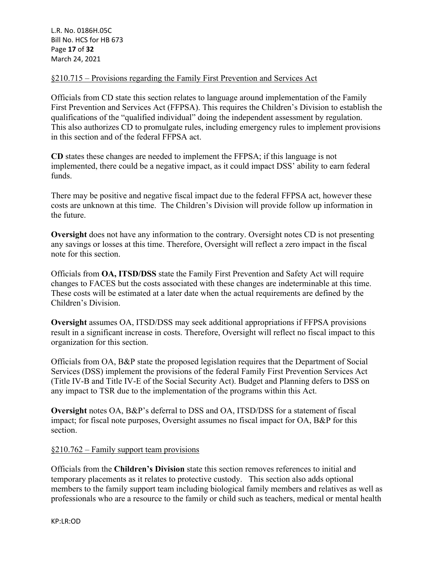## §210.715 – Provisions regarding the Family First Prevention and Services Act

Officials from CD state this section relates to language around implementation of the Family First Prevention and Services Act (FFPSA). This requires the Children's Division to establish the qualifications of the "qualified individual" doing the independent assessment by regulation. This also authorizes CD to promulgate rules, including emergency rules to implement provisions in this section and of the federal FFPSA act.

**CD** states these changes are needed to implement the FFPSA; if this language is not implemented, there could be a negative impact, as it could impact DSS' ability to earn federal funds.

There may be positive and negative fiscal impact due to the federal FFPSA act, however these costs are unknown at this time. The Children's Division will provide follow up information in the future.

**Oversight** does not have any information to the contrary. Oversight notes CD is not presenting any savings or losses at this time. Therefore, Oversight will reflect a zero impact in the fiscal note for this section.

Officials from **OA, ITSD/DSS** state the Family First Prevention and Safety Act will require changes to FACES but the costs associated with these changes are indeterminable at this time. These costs will be estimated at a later date when the actual requirements are defined by the Children's Division.

**Oversight** assumes OA, ITSD/DSS may seek additional appropriations if FFPSA provisions result in a significant increase in costs. Therefore, Oversight will reflect no fiscal impact to this organization for this section.

Officials from OA, B&P state the proposed legislation requires that the Department of Social Services (DSS) implement the provisions of the federal Family First Prevention Services Act (Title IV-B and Title IV-E of the Social Security Act). Budget and Planning defers to DSS on any impact to TSR due to the implementation of the programs within this Act.

**Oversight** notes OA, B&P's deferral to DSS and OA, ITSD/DSS for a statement of fiscal impact; for fiscal note purposes, Oversight assumes no fiscal impact for OA, B&P for this section.

#### §210.762 – Family support team provisions

Officials from the **Children's Division** state this section removes references to initial and temporary placements as it relates to protective custody. This section also adds optional members to the family support team including biological family members and relatives as well as professionals who are a resource to the family or child such as teachers, medical or mental health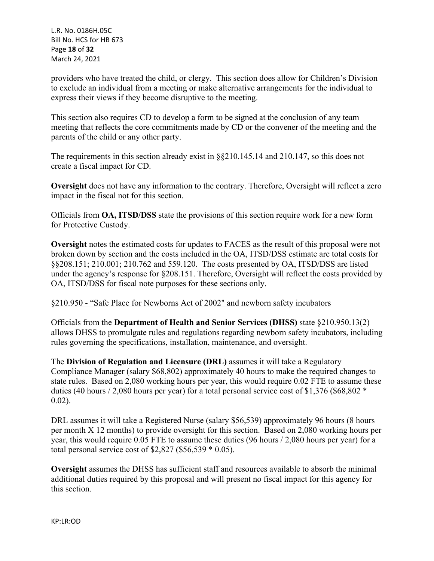L.R. No. 0186H.05C Bill No. HCS for HB 673 Page **18** of **32** March 24, 2021

providers who have treated the child, or clergy. This section does allow for Children's Division to exclude an individual from a meeting or make alternative arrangements for the individual to express their views if they become disruptive to the meeting.

This section also requires CD to develop a form to be signed at the conclusion of any team meeting that reflects the core commitments made by CD or the convener of the meeting and the parents of the child or any other party.

The requirements in this section already exist in §§210.145.14 and 210.147, so this does not create a fiscal impact for CD.

**Oversight** does not have any information to the contrary. Therefore, Oversight will reflect a zero impact in the fiscal not for this section.

Officials from **OA, ITSD/DSS** state the provisions of this section require work for a new form for Protective Custody.

**Oversight** notes the estimated costs for updates to FACES as the result of this proposal were not broken down by section and the costs included in the OA, ITSD/DSS estimate are total costs for §§208.151; 210.001; 210.762 and 559.120. The costs presented by OA, ITSD/DSS are listed under the agency's response for §208.151. Therefore, Oversight will reflect the costs provided by OA, ITSD/DSS for fiscal note purposes for these sections only.

#### §210.950 - "Safe Place for Newborns Act of 2002" and newborn safety incubators

Officials from the **Department of Health and Senior Services (DHSS)** state §210.950.13(2) allows DHSS to promulgate rules and regulations regarding newborn safety incubators, including rules governing the specifications, installation, maintenance, and oversight.

The **Division of Regulation and Licensure (DRL)** assumes it will take a Regulatory Compliance Manager (salary \$68,802) approximately 40 hours to make the required changes to state rules. Based on 2,080 working hours per year, this would require 0.02 FTE to assume these duties (40 hours / 2,080 hours per year) for a total personal service cost of \$1,376 (\$68,802  $*$ 0.02).

DRL assumes it will take a Registered Nurse (salary \$56,539) approximately 96 hours (8 hours per month X 12 months) to provide oversight for this section. Based on 2,080 working hours per year, this would require 0.05 FTE to assume these duties (96 hours / 2,080 hours per year) for a total personal service cost of  $$2,827$  (\$56,539  $*$  0.05).

**Oversight** assumes the DHSS has sufficient staff and resources available to absorb the minimal additional duties required by this proposal and will present no fiscal impact for this agency for this section.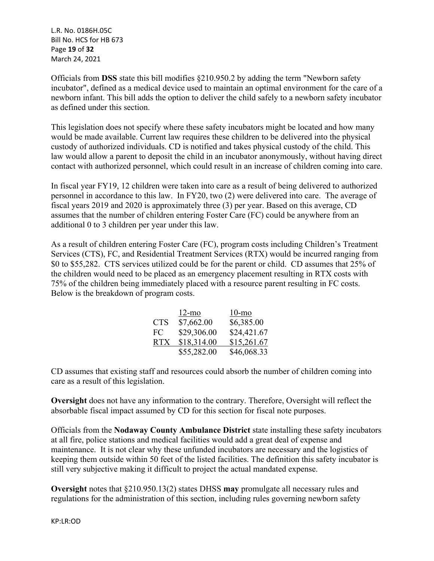L.R. No. 0186H.05C Bill No. HCS for HB 673 Page **19** of **32** March 24, 2021

Officials from **DSS** state this bill modifies §210.950.2 by adding the term "Newborn safety incubator", defined as a medical device used to maintain an optimal environment for the care of a newborn infant. This bill adds the option to deliver the child safely to a newborn safety incubator as defined under this section.

This legislation does not specify where these safety incubators might be located and how many would be made available. Current law requires these children to be delivered into the physical custody of authorized individuals. CD is notified and takes physical custody of the child. This law would allow a parent to deposit the child in an incubator anonymously, without having direct contact with authorized personnel, which could result in an increase of children coming into care.

In fiscal year FY19, 12 children were taken into care as a result of being delivered to authorized personnel in accordance to this law. In FY20, two (2) were delivered into care. The average of fiscal years 2019 and 2020 is approximately three (3) per year. Based on this average, CD assumes that the number of children entering Foster Care (FC) could be anywhere from an additional 0 to 3 children per year under this law.

As a result of children entering Foster Care (FC), program costs including Children's Treatment Services (CTS), FC, and Residential Treatment Services (RTX) would be incurred ranging from \$0 to \$55,282. CTS services utilized could be for the parent or child. CD assumes that 25% of the children would need to be placed as an emergency placement resulting in RTX costs with 75% of the children being immediately placed with a resource parent resulting in FC costs. Below is the breakdown of program costs.

|            | $12$ -mo    | $10$ -mo    |
|------------|-------------|-------------|
| <b>CTS</b> | \$7,662.00  | \$6,385.00  |
| FC.        | \$29,306.00 | \$24,421.67 |
| RTX.       | \$18,314.00 | \$15,261.67 |
|            | \$55,282.00 | \$46,068.33 |

CD assumes that existing staff and resources could absorb the number of children coming into care as a result of this legislation.

**Oversight** does not have any information to the contrary. Therefore, Oversight will reflect the absorbable fiscal impact assumed by CD for this section for fiscal note purposes.

Officials from the **Nodaway County Ambulance District** state installing these safety incubators at all fire, police stations and medical facilities would add a great deal of expense and maintenance. It is not clear why these unfunded incubators are necessary and the logistics of keeping them outside within 50 feet of the listed facilities. The definition this safety incubator is still very subjective making it difficult to project the actual mandated expense.

**Oversight** notes that §210.950.13(2) states DHSS **may** promulgate all necessary rules and regulations for the administration of this section, including rules governing newborn safety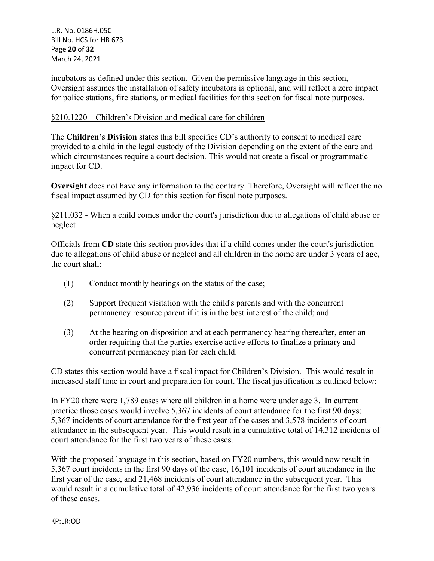L.R. No. 0186H.05C Bill No. HCS for HB 673 Page **20** of **32** March 24, 2021

incubators as defined under this section. Given the permissive language in this section, Oversight assumes the installation of safety incubators is optional, and will reflect a zero impact for police stations, fire stations, or medical facilities for this section for fiscal note purposes.

#### §210.1220 – Children's Division and medical care for children

The **Children's Division** states this bill specifies CD's authority to consent to medical care provided to a child in the legal custody of the Division depending on the extent of the care and which circumstances require a court decision. This would not create a fiscal or programmatic impact for CD.

**Oversight** does not have any information to the contrary. Therefore, Oversight will reflect the no fiscal impact assumed by CD for this section for fiscal note purposes.

## §211.032 - When a child comes under the court's jurisdiction due to allegations of child abuse or neglect

Officials from **CD** state this section provides that if a child comes under the court's jurisdiction due to allegations of child abuse or neglect and all children in the home are under 3 years of age, the court shall:

- (1) Conduct monthly hearings on the status of the case;
- (2) Support frequent visitation with the child's parents and with the concurrent permanency resource parent if it is in the best interest of the child; and
- (3) At the hearing on disposition and at each permanency hearing thereafter, enter an order requiring that the parties exercise active efforts to finalize a primary and concurrent permanency plan for each child.

CD states this section would have a fiscal impact for Children's Division. This would result in increased staff time in court and preparation for court. The fiscal justification is outlined below:

In FY20 there were 1,789 cases where all children in a home were under age 3. In current practice those cases would involve 5,367 incidents of court attendance for the first 90 days; 5,367 incidents of court attendance for the first year of the cases and 3,578 incidents of court attendance in the subsequent year. This would result in a cumulative total of 14,312 incidents of court attendance for the first two years of these cases.

With the proposed language in this section, based on FY20 numbers, this would now result in 5,367 court incidents in the first 90 days of the case, 16,101 incidents of court attendance in the first year of the case, and 21,468 incidents of court attendance in the subsequent year. This would result in a cumulative total of 42,936 incidents of court attendance for the first two years of these cases.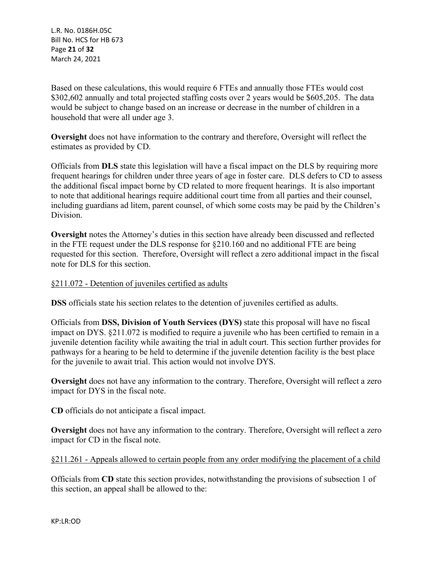L.R. No. 0186H.05C Bill No. HCS for HB 673 Page **21** of **32** March 24, 2021

Based on these calculations, this would require 6 FTEs and annually those FTEs would cost \$302,602 annually and total projected staffing costs over 2 years would be \$605,205. The data would be subject to change based on an increase or decrease in the number of children in a household that were all under age 3.

**Oversight** does not have information to the contrary and therefore, Oversight will reflect the estimates as provided by CD.

Officials from **DLS** state this legislation will have a fiscal impact on the DLS by requiring more frequent hearings for children under three years of age in foster care. DLS defers to CD to assess the additional fiscal impact borne by CD related to more frequent hearings. It is also important to note that additional hearings require additional court time from all parties and their counsel, including guardians ad litem, parent counsel, of which some costs may be paid by the Children's Division.

**Oversight** notes the Attorney's duties in this section have already been discussed and reflected in the FTE request under the DLS response for §210.160 and no additional FTE are being requested for this section. Therefore, Oversight will reflect a zero additional impact in the fiscal note for DLS for this section.

#### §211.072 - Detention of juveniles certified as adults

**DSS** officials state his section relates to the detention of juveniles certified as adults.

Officials from **DSS, Division of Youth Services (DYS)** state this proposal will have no fiscal impact on DYS. §211.072 is modified to require a juvenile who has been certified to remain in a juvenile detention facility while awaiting the trial in adult court. This section further provides for pathways for a hearing to be held to determine if the juvenile detention facility is the best place for the juvenile to await trial. This action would not involve DYS.

**Oversight** does not have any information to the contrary. Therefore, Oversight will reflect a zero impact for DYS in the fiscal note.

**CD** officials do not anticipate a fiscal impact.

**Oversight** does not have any information to the contrary. Therefore, Oversight will reflect a zero impact for CD in the fiscal note.

## §211.261 - Appeals allowed to certain people from any order modifying the placement of a child

Officials from **CD** state this section provides, notwithstanding the provisions of subsection 1 of this section, an appeal shall be allowed to the: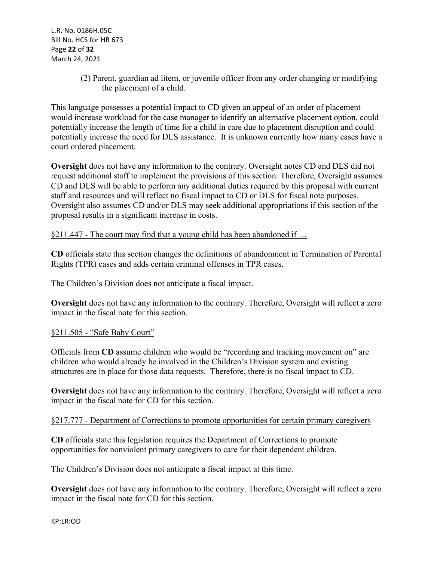(2) Parent, guardian ad litem, or juvenile officer from any order changing or modifying the placement of a child.

This language possesses a potential impact to CD given an appeal of an order of placement would increase workload for the case manager to identify an alternative placement option, could potentially increase the length of time for a child in care due to placement disruption and could potentially increase the need for DLS assistance. It is unknown currently how many cases have a court ordered placement.

**Oversight** does not have any information to the contrary. Oversight notes CD and DLS did not request additional staff to implement the provisions of this section. Therefore, Oversight assumes CD and DLS will be able to perform any additional duties required by this proposal with current staff and resources and will reflect no fiscal impact to CD or DLS for fiscal note purposes. Oversight also assumes CD and/or DLS may seek additional appropriations if this section of the proposal results in a significant increase in costs.

#### §211.447 - The court may find that a young child has been abandoned if …

**CD** officials state this section changes the definitions of abandonment in Termination of Parental Rights (TPR) cases and adds certain criminal offenses in TPR cases.

The Children's Division does not anticipate a fiscal impact.

**Oversight** does not have any information to the contrary. Therefore, Oversight will reflect a zero impact in the fiscal note for this section.

#### §211.505 - "Safe Baby Court"

Officials from **CD** assume children who would be "recording and tracking movement on" are children who would already be involved in the Children's Division system and existing structures are in place for those data requests. Therefore, there is no fiscal impact to CD.

**Oversight** does not have any information to the contrary. Therefore, Oversight will reflect a zero impact in the fiscal note for CD for this section.

#### §217.777 - Department of Corrections to promote opportunities for certain primary caregivers

**CD** officials state this legislation requires the Department of Corrections to promote opportunities for nonviolent primary caregivers to care for their dependent children.

The Children's Division does not anticipate a fiscal impact at this time.

**Oversight** does not have any information to the contrary. Therefore, Oversight will reflect a zero impact in the fiscal note for CD for this section.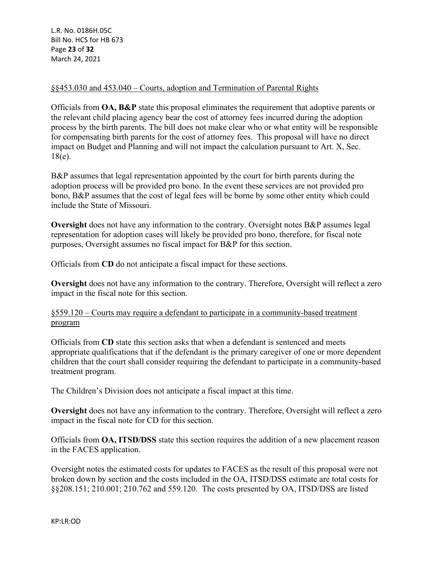L.R. No. 0186H.05C Bill No. HCS for HB 673 Page **23** of **32** March 24, 2021

#### §§453.030 and 453.040 – Courts, adoption and Termination of Parental Rights

Officials from **OA, B&P** state this proposal eliminates the requirement that adoptive parents or the relevant child placing agency bear the cost of attorney fees incurred during the adoption process by the birth parents. The bill does not make clear who or what entity will be responsible for compensating birth parents for the cost of attorney fees. This proposal will have no direct impact on Budget and Planning and will not impact the calculation pursuant to Art. X, Sec. 18(e).

B&P assumes that legal representation appointed by the court for birth parents during the adoption process will be provided pro bono. In the event these services are not provided pro bono, B&P assumes that the cost of legal fees will be borne by some other entity which could include the State of Missouri.

**Oversight** does not have any information to the contrary. Oversight notes B&P assumes legal representation for adoption cases will likely be provided pro bono, therefore, for fiscal note purposes, Oversight assumes no fiscal impact for B&P for this section.

Officials from **CD** do not anticipate a fiscal impact for these sections.

**Oversight** does not have any information to the contrary. Therefore, Oversight will reflect a zero impact in the fiscal note for this section.

#### §559.120 – Courts may require a defendant to participate in a community-based treatment program

Officials from **CD** state this section asks that when a defendant is sentenced and meets appropriate qualifications that if the defendant is the primary caregiver of one or more dependent children that the court shall consider requiring the defendant to participate in a community-based treatment program.

The Children's Division does not anticipate a fiscal impact at this time.

**Oversight** does not have any information to the contrary. Therefore, Oversight will reflect a zero impact in the fiscal note for CD for this section.

Officials from **OA, ITSD/DSS** state this section requires the addition of a new placement reason in the FACES application.

Oversight notes the estimated costs for updates to FACES as the result of this proposal were not broken down by section and the costs included in the OA, ITSD/DSS estimate are total costs for §§208.151; 210.001; 210.762 and 559.120. The costs presented by OA, ITSD/DSS are listed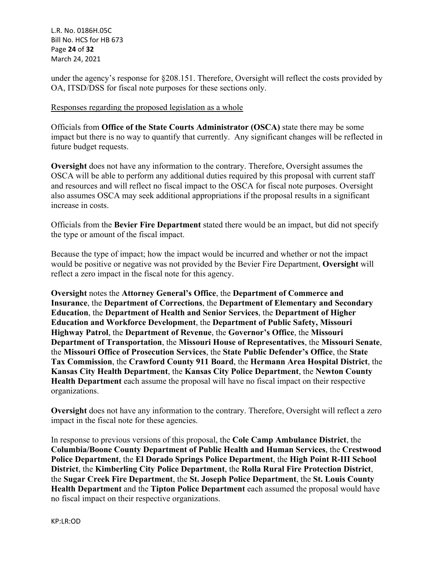L.R. No. 0186H.05C Bill No. HCS for HB 673 Page **24** of **32** March 24, 2021

under the agency's response for §208.151. Therefore, Oversight will reflect the costs provided by OA, ITSD/DSS for fiscal note purposes for these sections only.

#### Responses regarding the proposed legislation as a whole

Officials from **Office of the State Courts Administrator (OSCA)** state there may be some impact but there is no way to quantify that currently. Any significant changes will be reflected in future budget requests.

**Oversight** does not have any information to the contrary. Therefore, Oversight assumes the OSCA will be able to perform any additional duties required by this proposal with current staff and resources and will reflect no fiscal impact to the OSCA for fiscal note purposes. Oversight also assumes OSCA may seek additional appropriations if the proposal results in a significant increase in costs.

Officials from the **Bevier Fire Department** stated there would be an impact, but did not specify the type or amount of the fiscal impact.

Because the type of impact; how the impact would be incurred and whether or not the impact would be positive or negative was not provided by the Bevier Fire Department, **Oversight** will reflect a zero impact in the fiscal note for this agency.

**Oversight** notes the **Attorney General's Office**, the **Department of Commerce and Insurance**, the **Department of Corrections**, the **Department of Elementary and Secondary Education**, the **Department of Health and Senior Services**, the **Department of Higher Education and Workforce Development**, the **Department of Public Safety, Missouri Highway Patrol**, the **Department of Revenue**, the **Governor's Office**, the **Missouri Department of Transportation**, the **Missouri House of Representatives**, the **Missouri Senate**, the **Missouri Office of Prosecution Services**, the **State Public Defender's Office**, the **State Tax Commission**, the **Crawford County 911 Board**, the **Hermann Area Hospital District**, the **Kansas City Health Department**, the **Kansas City Police Department**, the **Newton County Health Department** each assume the proposal will have no fiscal impact on their respective organizations.

**Oversight** does not have any information to the contrary. Therefore, Oversight will reflect a zero impact in the fiscal note for these agencies.

In response to previous versions of this proposal, the **Cole Camp Ambulance District**, the **Columbia/Boone County Department of Public Health and Human Services**, the **Crestwood Police Department**, the **El Dorado Springs Police Department**, the **High Point R-III School District**, the **Kimberling City Police Department**, the **Rolla Rural Fire Protection District**, the **Sugar Creek Fire Department**, the **St. Joseph Police Department**, the **St. Louis County Health Department** and the **Tipton Police Department** each assumed the proposal would have no fiscal impact on their respective organizations.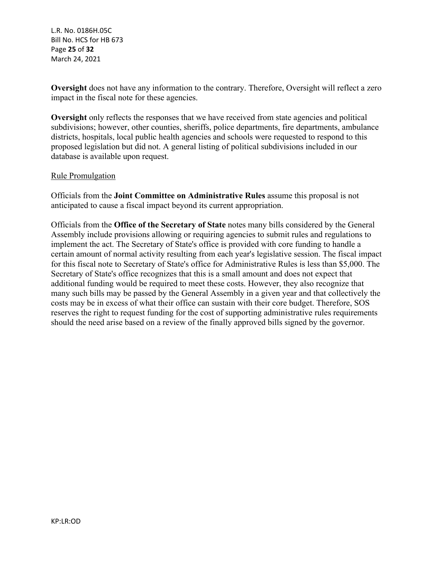L.R. No. 0186H.05C Bill No. HCS for HB 673 Page **25** of **32** March 24, 2021

**Oversight** does not have any information to the contrary. Therefore, Oversight will reflect a zero impact in the fiscal note for these agencies.

**Oversight** only reflects the responses that we have received from state agencies and political subdivisions; however, other counties, sheriffs, police departments, fire departments, ambulance districts, hospitals, local public health agencies and schools were requested to respond to this proposed legislation but did not. A general listing of political subdivisions included in our database is available upon request.

## Rule Promulgation

Officials from the **Joint Committee on Administrative Rules** assume this proposal is not anticipated to cause a fiscal impact beyond its current appropriation.

Officials from the **Office of the Secretary of State** notes many bills considered by the General Assembly include provisions allowing or requiring agencies to submit rules and regulations to implement the act. The Secretary of State's office is provided with core funding to handle a certain amount of normal activity resulting from each year's legislative session. The fiscal impact for this fiscal note to Secretary of State's office for Administrative Rules is less than \$5,000. The Secretary of State's office recognizes that this is a small amount and does not expect that additional funding would be required to meet these costs. However, they also recognize that many such bills may be passed by the General Assembly in a given year and that collectively the costs may be in excess of what their office can sustain with their core budget. Therefore, SOS reserves the right to request funding for the cost of supporting administrative rules requirements should the need arise based on a review of the finally approved bills signed by the governor.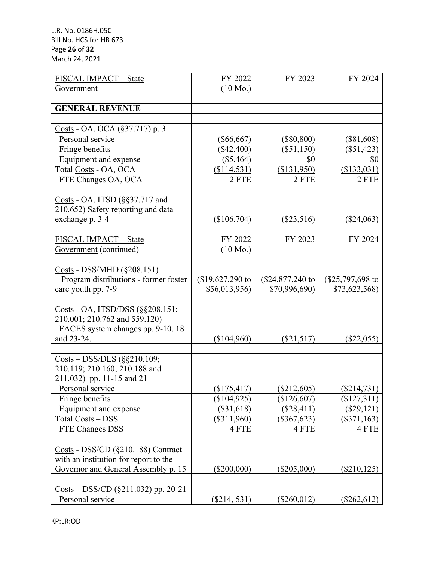L.R. No. 0186H.05C Bill No. HCS for HB 673 Page **26** of **32** March 24, 2021

| FISCAL IMPACT - State                                                                                                                           | FY 2022            | FY 2023           | FY 2024            |
|-------------------------------------------------------------------------------------------------------------------------------------------------|--------------------|-------------------|--------------------|
| Government                                                                                                                                      | $(10 \text{ Mo.})$ |                   |                    |
|                                                                                                                                                 |                    |                   |                    |
| <b>GENERAL REVENUE</b>                                                                                                                          |                    |                   |                    |
|                                                                                                                                                 |                    |                   |                    |
| Costs - OA, OCA (§37.717) p. 3                                                                                                                  |                    |                   |                    |
| Personal service                                                                                                                                | $(\$66,667)$       | $(\$80,800)$      | $(\$81,608)$       |
| Fringe benefits                                                                                                                                 | $(\$42,400)$       | $(\$51,150)$      | $(\$51,423)$       |
| Equipment and expense                                                                                                                           | (\$5,464)          | \$0               | <u>\$0</u>         |
| Total Costs - OA, OCA                                                                                                                           | (\$114,531)        | (\$131,950)       | (\$133,031)        |
| FTE Changes OA, OCA                                                                                                                             | 2 FTE              | 2 FTE             | 2 FTE              |
|                                                                                                                                                 |                    |                   |                    |
| Costs - OA, ITSD (§§37.717 and                                                                                                                  |                    |                   |                    |
| 210.652) Safety reporting and data                                                                                                              |                    |                   |                    |
| exchange p. 3-4                                                                                                                                 | (\$106,704)        | $(\$23,516)$      | $(\$24,063)$       |
|                                                                                                                                                 |                    |                   |                    |
| FISCAL IMPACT - State                                                                                                                           | FY 2022            | FY 2023           | FY 2024            |
| Government (continued)                                                                                                                          | $(10 \text{ Mo.})$ |                   |                    |
|                                                                                                                                                 |                    |                   |                    |
| Costs - DSS/MHD (§208.151)                                                                                                                      |                    |                   |                    |
| Program distributions - former foster                                                                                                           | $$19,627,290$ to   | $($24,877,240$ to | $(\$25,797,698$ to |
| care youth pp. 7-9                                                                                                                              | \$56,013,956)      | \$70,996,690)     | \$73,623,568)      |
|                                                                                                                                                 |                    |                   |                    |
| Costs - OA, ITSD/DSS (§§208.151;                                                                                                                |                    |                   |                    |
| 210.001; 210.762 and 559.120)                                                                                                                   |                    |                   |                    |
| FACES system changes pp. 9-10, 18                                                                                                               |                    |                   |                    |
| and 23-24.                                                                                                                                      | (\$104,960)        | $(\$21,517)$      | $(\$22,055)$       |
|                                                                                                                                                 |                    |                   |                    |
| $\frac{\text{Costs}}{\text{Oosts}} - \frac{\text{DSS}}{\text{DLS}} \left( \frac{\text{SS}}{\text{S}} \frac{\text{S}}{\text{S}} \right) 10.109;$ |                    |                   |                    |
| 210.119; 210.160; 210.188 and                                                                                                                   |                    |                   |                    |
| 211.032) pp. 11-15 and 21                                                                                                                       |                    |                   |                    |
| Personal service                                                                                                                                | (\$175,417)        | $(\$212,605)$     | $(\$214,731)$      |
| Fringe benefits                                                                                                                                 | (\$104,925)        | $(\$126,607)$     | $(\$127,311)$      |
| Equipment and expense                                                                                                                           | (\$31,618)         | (\$28,411)        | $(\$29,121)$       |
| Total Costs - DSS                                                                                                                               | $(\$311,960)$      | $(\$367,623)$     | (\$371,163)        |
| FTE Changes DSS                                                                                                                                 | 4 FTE              | 4 FTE             | 4 FTE              |
|                                                                                                                                                 |                    |                   |                    |
| Costs - DSS/CD (§210.188) Contract                                                                                                              |                    |                   |                    |
| with an institution for report to the                                                                                                           |                    |                   |                    |
| Governor and General Assembly p. 15                                                                                                             | $(\$200,000)$      | $(\$205,000)$     | $(\$210, 125)$     |
|                                                                                                                                                 |                    |                   |                    |
| $\frac{\text{Costs}}{\text{Costs}} - \frac{\text{DSS}}{\text{CD}}$ (§211.032) pp. 20-21                                                         |                    |                   |                    |
| Personal service                                                                                                                                | $(\$214, 531)$     | $(\$260,012)$     | $(\$262,612)$      |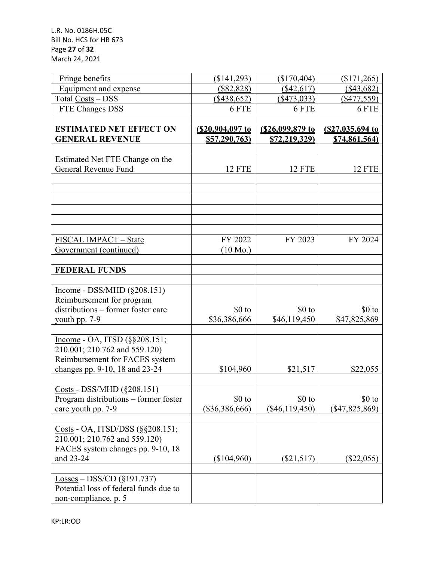| Fringe benefits                                                     | (\$141,293)        | (\$170,404)          | (\$171,265)      |
|---------------------------------------------------------------------|--------------------|----------------------|------------------|
| Equipment and expense                                               | (\$82,828)         | $(\$42,617)$         | $(\$43,682)$     |
| Total Costs - DSS                                                   | $($ \$438,652)     | ( \$473, 033)        | $($ \$477,559)   |
| FTE Changes DSS                                                     | 6 FTE              | 6 FTE                | 6 FTE            |
|                                                                     |                    |                      |                  |
| <b>ESTIMATED NET EFFECT ON</b>                                      | (\$20,904,097 to   | (\$26,099,879 to     | (\$27,035,694 to |
| <b>GENERAL REVENUE</b>                                              | \$57,290,763)      | <u>\$72,219,329)</u> | \$74,861,564)    |
|                                                                     |                    |                      |                  |
| Estimated Net FTE Change on the                                     |                    |                      |                  |
| General Revenue Fund                                                | <b>12 FTE</b>      | <b>12 FTE</b>        | 12 FTE           |
|                                                                     |                    |                      |                  |
|                                                                     |                    |                      |                  |
|                                                                     |                    |                      |                  |
|                                                                     |                    |                      |                  |
|                                                                     |                    |                      |                  |
| FISCAL IMPACT - State                                               | FY 2022            | FY 2023              | FY 2024          |
| Government (continued)                                              | $(10 \text{ Mo.})$ |                      |                  |
|                                                                     |                    |                      |                  |
| <b>FEDERAL FUNDS</b>                                                |                    |                      |                  |
|                                                                     |                    |                      |                  |
| $Income - DSS/MHD (§208.151)$                                       |                    |                      |                  |
| Reimbursement for program                                           |                    |                      |                  |
| distributions – former foster care                                  | $$0$ to            | $$0$ to              | $$0$ to          |
| youth pp. 7-9                                                       | \$36,386,666       | \$46,119,450         | \$47,825,869     |
|                                                                     |                    |                      |                  |
| Income - OA, ITSD (§§208.151;                                       |                    |                      |                  |
| 210.001; 210.762 and 559.120)                                       |                    |                      |                  |
| Reimbursement for FACES system                                      |                    |                      |                  |
| changes pp. 9-10, 18 and 23-24                                      | \$104,960          | \$21,517             | \$22,055         |
|                                                                     |                    |                      |                  |
| Costs - DSS/MHD (§208.151)<br>Program distributions – former foster | \$0 to             | $$0$ to              | $$0$ to          |
| care youth pp. 7-9                                                  | $(\$36,386,666)$   | $(\$46,119,450)$     | $(\$47,825,869)$ |
|                                                                     |                    |                      |                  |
| Costs - OA, ITSD/DSS (§§208.151;                                    |                    |                      |                  |
| 210.001; 210.762 and 559.120)                                       |                    |                      |                  |
| FACES system changes pp. 9-10, 18                                   |                    |                      |                  |
| and 23-24                                                           | $(\$104,960)$      | $(\$21,517)$         | $(\$22,055)$     |
|                                                                     |                    |                      |                  |
| $\underline{\text{Losses}} - \text{DSS/CD}$ (§191.737)              |                    |                      |                  |
| Potential loss of federal funds due to                              |                    |                      |                  |
| non-compliance. p. 5                                                |                    |                      |                  |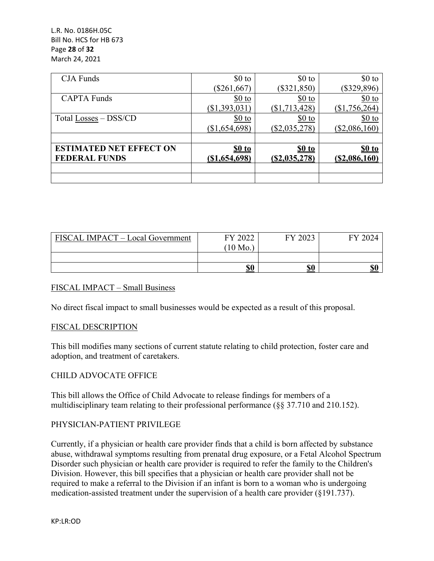L.R. No. 0186H.05C Bill No. HCS for HB 673 Page **28** of **32** March 24, 2021

| <b>CJA</b> Funds               | $$0$ to          | $$0$ to          | $$0$ to              |
|--------------------------------|------------------|------------------|----------------------|
|                                | $(\$261,667)$    | $(\$321,850)$    | $(\$329,896)$        |
| <b>CAPTA Funds</b>             | $$0$ to          | $$0$ to          | $$0$ to              |
|                                | (\$1,393,031)    | ( \$1, 713, 428) | \$1,756,264          |
| Total Losses – DSS/CD          | $$0$ to          | $$0$ to          | $$0$ to              |
|                                | (\$1,654,698)    | $(\$2,035,278)$  | $(\$2,086,160)$      |
|                                |                  |                  |                      |
| <b>ESTIMATED NET EFFECT ON</b> | \$0 to           | \$0 to           | \$0 to               |
| <b>FEDERAL FUNDS</b>           | $($ \$1,654,698) | (S2, 035, 278)   | <u>(\$2,086,160)</u> |
|                                |                  |                  |                      |
|                                |                  |                  |                      |

| FISCAL IMPACT - Local Government | FY 2022            | FY 2023 | FY 2024 |
|----------------------------------|--------------------|---------|---------|
|                                  | $(10 \text{ Mo.})$ |         |         |
|                                  | <u>\$0</u>         | \$0     | \$0     |

#### FISCAL IMPACT – Small Business

No direct fiscal impact to small businesses would be expected as a result of this proposal.

#### FISCAL DESCRIPTION

This bill modifies many sections of current statute relating to child protection, foster care and adoption, and treatment of caretakers.

#### CHILD ADVOCATE OFFICE

This bill allows the Office of Child Advocate to release findings for members of a multidisciplinary team relating to their professional performance (§§ 37.710 and 210.152).

#### PHYSICIAN-PATIENT PRIVILEGE

Currently, if a physician or health care provider finds that a child is born affected by substance abuse, withdrawal symptoms resulting from prenatal drug exposure, or a Fetal Alcohol Spectrum Disorder such physician or health care provider is required to refer the family to the Children's Division. However, this bill specifies that a physician or health care provider shall not be required to make a referral to the Division if an infant is born to a woman who is undergoing medication-assisted treatment under the supervision of a health care provider (§191.737).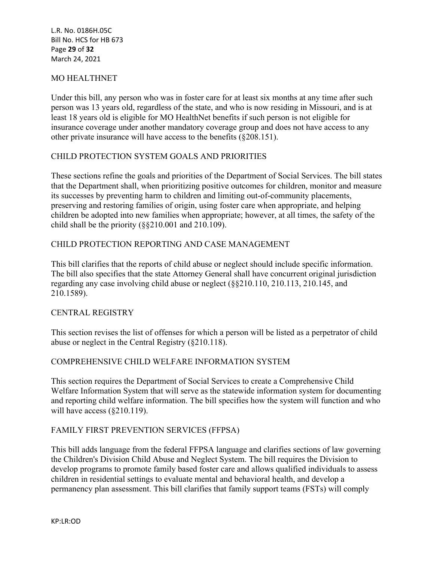L.R. No. 0186H.05C Bill No. HCS for HB 673 Page **29** of **32** March 24, 2021

## MO HEALTHNET

Under this bill, any person who was in foster care for at least six months at any time after such person was 13 years old, regardless of the state, and who is now residing in Missouri, and is at least 18 years old is eligible for MO HealthNet benefits if such person is not eligible for insurance coverage under another mandatory coverage group and does not have access to any other private insurance will have access to the benefits (§208.151).

#### CHILD PROTECTION SYSTEM GOALS AND PRIORITIES

These sections refine the goals and priorities of the Department of Social Services. The bill states that the Department shall, when prioritizing positive outcomes for children, monitor and measure its successes by preventing harm to children and limiting out-of-community placements, preserving and restoring families of origin, using foster care when appropriate, and helping children be adopted into new families when appropriate; however, at all times, the safety of the child shall be the priority (§§210.001 and 210.109).

#### CHILD PROTECTION REPORTING AND CASE MANAGEMENT

This bill clarifies that the reports of child abuse or neglect should include specific information. The bill also specifies that the state Attorney General shall have concurrent original jurisdiction regarding any case involving child abuse or neglect (§§210.110, 210.113, 210.145, and 210.1589).

#### CENTRAL REGISTRY

This section revises the list of offenses for which a person will be listed as a perpetrator of child abuse or neglect in the Central Registry (§210.118).

#### COMPREHENSIVE CHILD WELFARE INFORMATION SYSTEM

This section requires the Department of Social Services to create a Comprehensive Child Welfare Information System that will serve as the statewide information system for documenting and reporting child welfare information. The bill specifies how the system will function and who will have access (§210.119).

#### FAMILY FIRST PREVENTION SERVICES (FFPSA)

This bill adds language from the federal FFPSA language and clarifies sections of law governing the Children's Division Child Abuse and Neglect System. The bill requires the Division to develop programs to promote family based foster care and allows qualified individuals to assess children in residential settings to evaluate mental and behavioral health, and develop a permanency plan assessment. This bill clarifies that family support teams (FSTs) will comply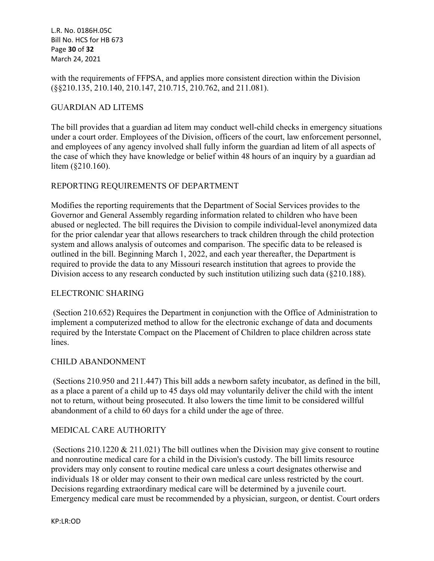L.R. No. 0186H.05C Bill No. HCS for HB 673 Page **30** of **32** March 24, 2021

with the requirements of FFPSA, and applies more consistent direction within the Division (§§210.135, 210.140, 210.147, 210.715, 210.762, and 211.081).

#### GUARDIAN AD LITEMS

The bill provides that a guardian ad litem may conduct well-child checks in emergency situations under a court order. Employees of the Division, officers of the court, law enforcement personnel, and employees of any agency involved shall fully inform the guardian ad litem of all aspects of the case of which they have knowledge or belief within 48 hours of an inquiry by a guardian ad litem (§210.160).

#### REPORTING REQUIREMENTS OF DEPARTMENT

Modifies the reporting requirements that the Department of Social Services provides to the Governor and General Assembly regarding information related to children who have been abused or neglected. The bill requires the Division to compile individual-level anonymized data for the prior calendar year that allows researchers to track children through the child protection system and allows analysis of outcomes and comparison. The specific data to be released is outlined in the bill. Beginning March 1, 2022, and each year thereafter, the Department is required to provide the data to any Missouri research institution that agrees to provide the Division access to any research conducted by such institution utilizing such data (§210.188).

#### ELECTRONIC SHARING

 (Section 210.652) Requires the Department in conjunction with the Office of Administration to implement a computerized method to allow for the electronic exchange of data and documents required by the Interstate Compact on the Placement of Children to place children across state lines.

#### CHILD ABANDONMENT

 (Sections 210.950 and 211.447) This bill adds a newborn safety incubator, as defined in the bill, as a place a parent of a child up to 45 days old may voluntarily deliver the child with the intent not to return, without being prosecuted. It also lowers the time limit to be considered willful abandonment of a child to 60 days for a child under the age of three.

#### MEDICAL CARE AUTHORITY

 (Sections 210.1220 & 211.021) The bill outlines when the Division may give consent to routine and nonroutine medical care for a child in the Division's custody. The bill limits resource providers may only consent to routine medical care unless a court designates otherwise and individuals 18 or older may consent to their own medical care unless restricted by the court. Decisions regarding extraordinary medical care will be determined by a juvenile court. Emergency medical care must be recommended by a physician, surgeon, or dentist. Court orders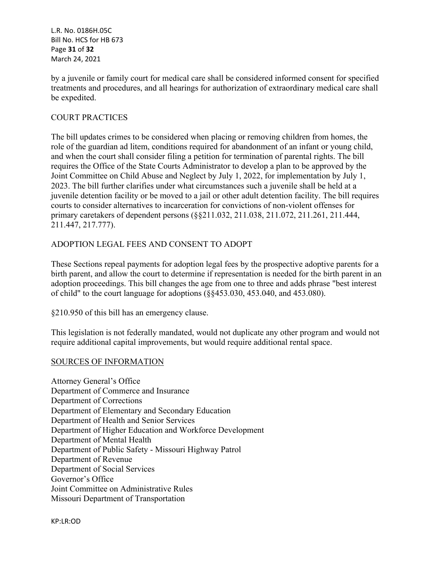L.R. No. 0186H.05C Bill No. HCS for HB 673 Page **31** of **32** March 24, 2021

by a juvenile or family court for medical care shall be considered informed consent for specified treatments and procedures, and all hearings for authorization of extraordinary medical care shall be expedited.

## COURT PRACTICES

The bill updates crimes to be considered when placing or removing children from homes, the role of the guardian ad litem, conditions required for abandonment of an infant or young child, and when the court shall consider filing a petition for termination of parental rights. The bill requires the Office of the State Courts Administrator to develop a plan to be approved by the Joint Committee on Child Abuse and Neglect by July 1, 2022, for implementation by July 1, 2023. The bill further clarifies under what circumstances such a juvenile shall be held at a juvenile detention facility or be moved to a jail or other adult detention facility. The bill requires courts to consider alternatives to incarceration for convictions of non-violent offenses for primary caretakers of dependent persons (§§211.032, 211.038, 211.072, 211.261, 211.444, 211.447, 217.777).

## ADOPTION LEGAL FEES AND CONSENT TO ADOPT

These Sections repeal payments for adoption legal fees by the prospective adoptive parents for a birth parent, and allow the court to determine if representation is needed for the birth parent in an adoption proceedings. This bill changes the age from one to three and adds phrase "best interest of child" to the court language for adoptions (§§453.030, 453.040, and 453.080).

§210.950 of this bill has an emergency clause.

This legislation is not federally mandated, would not duplicate any other program and would not require additional capital improvements, but would require additional rental space.

#### SOURCES OF INFORMATION

Attorney General's Office Department of Commerce and Insurance Department of Corrections Department of Elementary and Secondary Education Department of Health and Senior Services Department of Higher Education and Workforce Development Department of Mental Health Department of Public Safety - Missouri Highway Patrol Department of Revenue Department of Social Services Governor's Office Joint Committee on Administrative Rules Missouri Department of Transportation